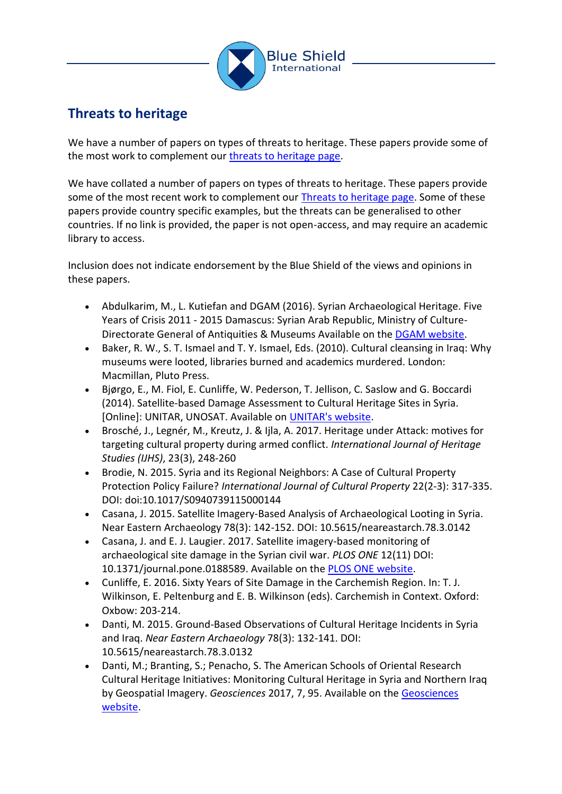

## **Threats to heritage**

We have a number of papers on types of threats to heritage. These papers provide some of the most work to complement our [threats](https://theblueshield.org/resources/documents/illicit-antiquities/) to heritage page.

We have collated a number of papers on types of threats to heritage. These papers provide some of the most recent work to complement our [Threats to heritage page.](https://theblueshield.org/why-we-do-it/threats-to-heritage/) Some of these papers provide country specific examples, but the threats can be generalised to other countries. If no link is provided, the paper is not open-access, and may require an academic library to access.

Inclusion does not indicate endorsement by the Blue Shield of the views and opinions in these papers.

- Abdulkarim, M., L. Kutiefan and DGAM (2016). Syrian Archaeological Heritage. Five Years of Crisis 2011 - 2015 Damascus: Syrian Arab Republic, Ministry of Culture-Directorate General of Antiquities & Museums Available on th[e DGAM website.](http://www.dgam.gov.sy/archive/docs/File/downloads/Book_en_2016.pdf.)
- Baker, R. W., S. T. Ismael and T. Y. Ismael, Eds. (2010). Cultural cleansing in Iraq: Why museums were looted, libraries burned and academics murdered. London: Macmillan, Pluto Press.
- Bjørgo, E., M. Fiol, E. Cunliffe, W. Pederson, T. Jellison, C. Saslow and G. Boccardi (2014). Satellite-based Damage Assessment to Cultural Heritage Sites in Syria. [Online]: UNITAR, UNOSAT. Available on [UNITAR's website.](http://www.unitar.org/unosat/chs-syria)
- Brosché, J., Legnér, M., Kreutz, J. & Ijla, A. 2017. Heritage under Attack: motives for targeting cultural property during armed conflict. *International Journal of Heritage Studies (IJHS)*, 23(3), 248-260
- Brodie, N. 2015. Syria and its Regional Neighbors: A Case of Cultural Property Protection Policy Failure? *International Journal of Cultural Property* 22(2-3): 317-335. DOI: doi:10.1017/S0940739115000144
- Casana, J. 2015. Satellite Imagery-Based Analysis of Archaeological Looting in Syria. Near Eastern Archaeology 78(3): 142-152. DOI: 10.5615/neareastarch.78.3.0142
- Casana, J. and E. J. Laugier. 2017. Satellite imagery-based monitoring of archaeological site damage in the Syrian civil war. *PLOS ONE* 12(11) DOI: 10.1371/journal.pone.0188589. Available on the [PLOS ONE website.](https://doi.org/10.1371/journal.pone.0188589)
- Cunliffe, E. 2016. Sixty Years of Site Damage in the Carchemish Region. In: T. J. Wilkinson, E. Peltenburg and E. B. Wilkinson (eds). Carchemish in Context. Oxford: Oxbow: 203-214.
- Danti, M. 2015. Ground-Based Observations of Cultural Heritage Incidents in Syria and Iraq. *Near Eastern Archaeology* 78(3): 132-141. DOI: 10.5615/neareastarch.78.3.0132
- Danti, M.; Branting, S.; Penacho, S. The American Schools of Oriental Research Cultural Heritage Initiatives: Monitoring Cultural Heritage in Syria and Northern Iraq by Geospatial Imagery. *Geosciences* 2017, 7, 95. Available on the [Geosciences](https://www.mdpi.com/2076-3263/7/4/95)  [website.](https://www.mdpi.com/2076-3263/7/4/95)